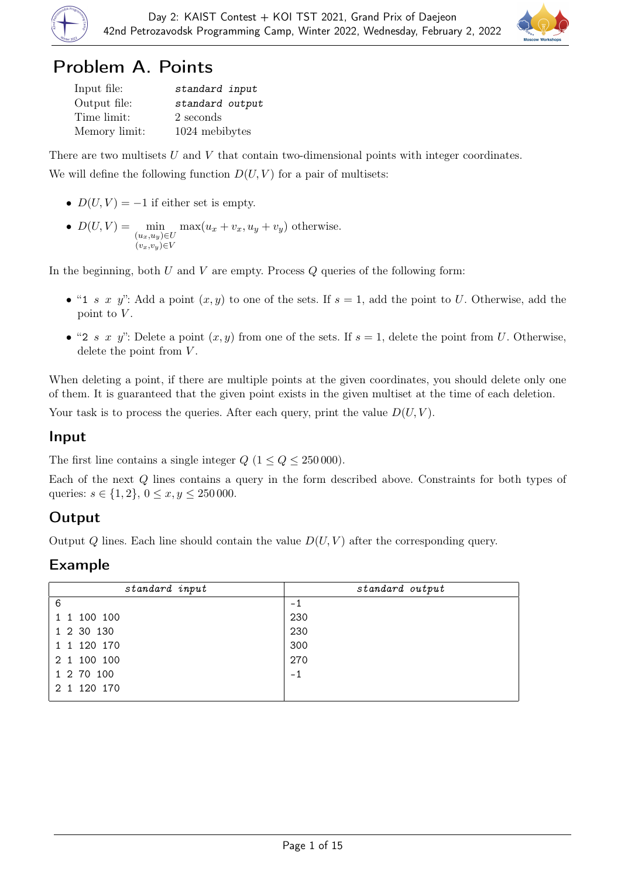



## Problem A. Points

| Input file:   | standard input  |
|---------------|-----------------|
| Output file:  | standard output |
| Time limit:   | 2 seconds       |
| Memory limit: | 1024 mebibytes  |

There are two multisets  $U$  and  $V$  that contain two-dimensional points with integer coordinates. We will define the following function  $D(U, V)$  for a pair of multisets:

- $D(U, V) = -1$  if either set is empty.
	- $D(U, V) = \min_{(u_x, u_y) \in U}$  $(v_x,v_y) \in V$  $\max(u_x + v_x, u_y + v_y)$  otherwise.

In the beginning, both  $U$  and  $V$  are empty. Process  $Q$  queries of the following form:

- "1 s x y": Add a point  $(x, y)$  to one of the sets. If  $s = 1$ , add the point to U. Otherwise, add the point to  $V$ .
- "2 s x y": Delete a point  $(x, y)$  from one of the sets. If  $s = 1$ , delete the point from U. Otherwise, delete the point from  $V$ .

When deleting a point, if there are multiple points at the given coordinates, you should delete only one of them. It is guaranteed that the given point exists in the given multiset at the time of each deletion.

Your task is to process the queries. After each query, print the value  $D(U, V)$ .

#### Input

The first line contains a single integer  $Q$  ( $1 \le Q \le 250000$ ).

Each of the next Q lines contains a query in the form described above. Constraints for both types of queries:  $s \in \{1, 2\}, 0 \le x, y \le 250000$ .

### Output

Output Q lines. Each line should contain the value  $D(U, V)$  after the corresponding query.

| standard input | standard output |  |
|----------------|-----------------|--|
| 6              | $-1$            |  |
| 1 1 100 100    | 230             |  |
| 1 2 30 130     | 230             |  |
| 1 1 1 20 1 70  | 300             |  |
| 2 1 100 100    | 270             |  |
| 1 2 70 100     | $-1$            |  |
| 2 1 120 170    |                 |  |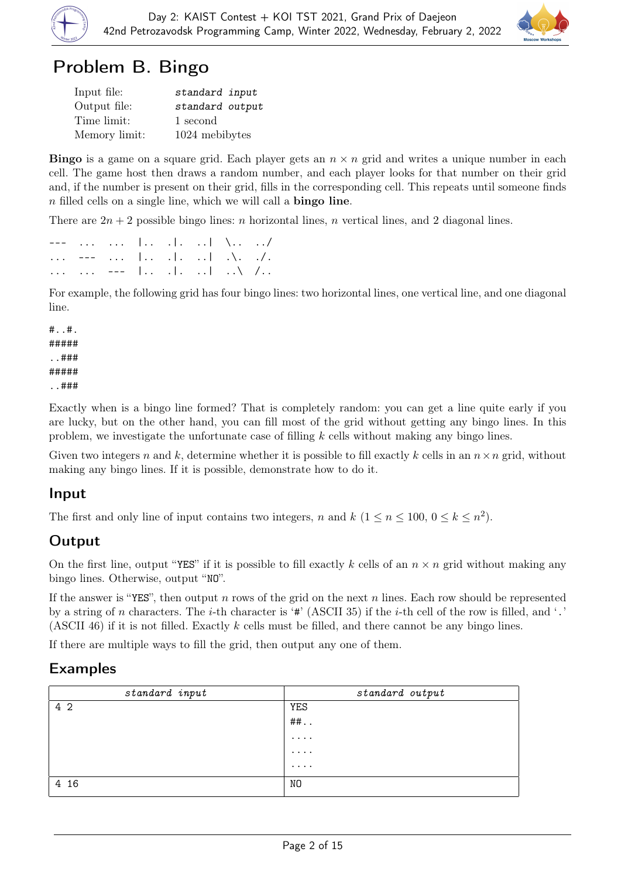



# Problem B. Bingo

| Input file:   | standard input  |
|---------------|-----------------|
| Output file:  | standard output |
| Time limit:   | 1 second        |
| Memory limit: | 1024 mebibytes  |

**Bingo** is a game on a square grid. Each player gets an  $n \times n$  grid and writes a unique number in each cell. The game host then draws a random number, and each player looks for that number on their grid and, if the number is present on their grid, fills in the corresponding cell. This repeats until someone finds n filled cells on a single line, which we will call a bingo line.

There are  $2n + 2$  possible bingo lines: *n* horizontal lines, *n* vertical lines, and 2 diagonal lines.

|  |  | ---     . .   \ /    |  |
|--|--|----------------------|--|
|  |  | ---    . .   .\. ./. |  |
|  |  | ---   . .   \ /      |  |

For example, the following grid has four bingo lines: two horizontal lines, one vertical line, and one diagonal line.

#..#. ##### ..### ##### ..###

Exactly when is a bingo line formed? That is completely random: you can get a line quite early if you are lucky, but on the other hand, you can fill most of the grid without getting any bingo lines. In this problem, we investigate the unfortunate case of filling  $k$  cells without making any bingo lines.

Given two integers n and k, determine whether it is possible to fill exactly k cells in an  $n \times n$  grid, without making any bingo lines. If it is possible, demonstrate how to do it.

### Input

The first and only line of input contains two integers, n and  $k$   $(1 \le n \le 100, 0 \le k \le n^2)$ .

## **Output**

On the first line, output "YES" if it is possible to fill exactly k cells of an  $n \times n$  grid without making any bingo lines. Otherwise, output "NO".

If the answer is "YES", then output n rows of the grid on the next n lines. Each row should be represented by a string of n characters. The *i*-th character is '#' (ASCII 35) if the *i*-th cell of the row is filled, and '.' (ASCII 46) if it is not filled. Exactly k cells must be filled, and there cannot be any bingo lines.

If there are multiple ways to fill the grid, then output any one of them.

| standard input | standard output |
|----------------|-----------------|
| 4 2            | YES             |
|                | $##$ .          |
|                | $\cdots$        |
|                | $\cdots$        |
|                | $\cdots$        |
| 4 16           | NO              |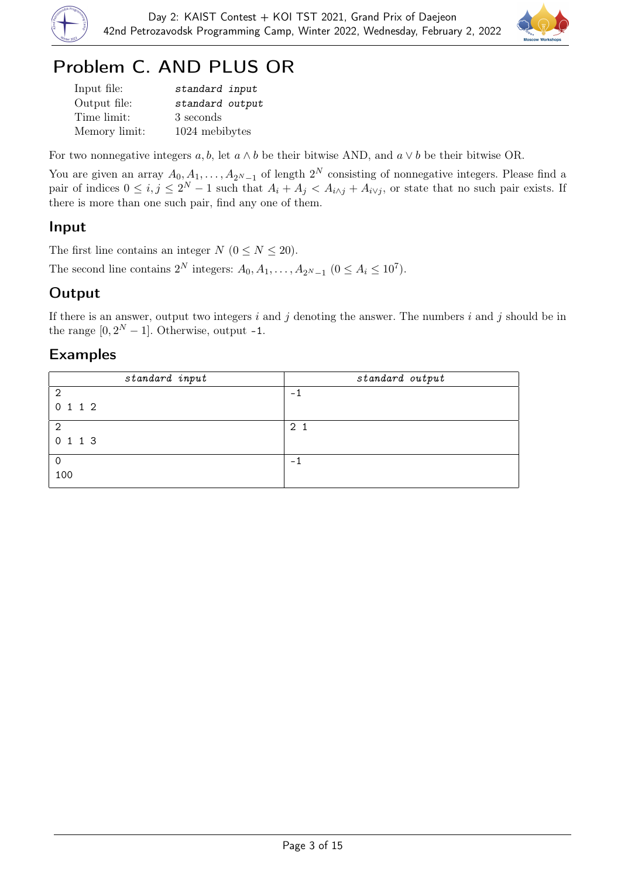



# Problem C. AND PLUS OR

| Input file:   | standard input  |
|---------------|-----------------|
| Output file:  | standard output |
| Time limit:   | 3 seconds       |
| Memory limit: | 1024 mebibytes  |

For two nonnegative integers  $a, b$ , let  $a \wedge b$  be their bitwise AND, and  $a \vee b$  be their bitwise OR.

You are given an array  $A_0, A_1, \ldots, A_{2^N-1}$  of length  $2^N$  consisting of nonnegative integers. Please find a pair of indices  $0 \le i, j \le 2^N - 1$  such that  $A_i + A_j < A_{i \wedge j} + A_{i \vee j}$ , or state that no such pair exists. If there is more than one such pair, find any one of them.

#### Input

The first line contains an integer  $N$  ( $0 \le N \le 20$ ).

The second line contains  $2^N$  integers:  $A_0, A_1, \ldots, A_{2^N-1}$   $(0 \le A_i \le 10^7)$ .

### **Output**

If there is an answer, output two integers  $i$  and  $j$  denoting the answer. The numbers  $i$  and  $j$  should be in the range  $[0, 2^N - 1]$ . Otherwise, output -1.

| standard input | standard output |  |
|----------------|-----------------|--|
| $\overline{2}$ | - 1             |  |
| 0 1 1 2        |                 |  |
| $\overline{2}$ | 2 <sub>1</sub>  |  |
| 0 1 1 3        |                 |  |
| 0              | - 1             |  |
| 100            |                 |  |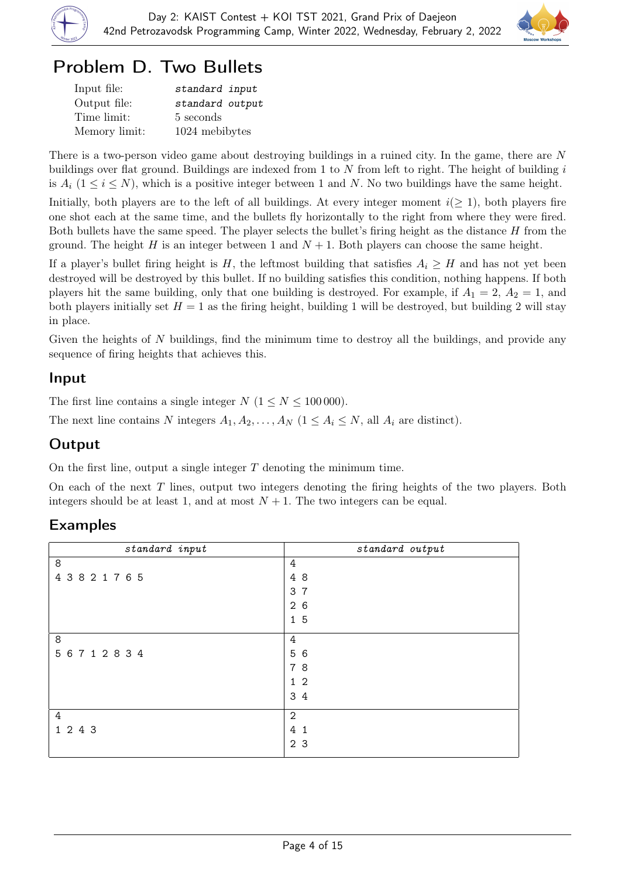



# Problem D. Two Bullets

| Input file:   | standard input  |
|---------------|-----------------|
| Output file:  | standard output |
| Time limit:   | 5 seconds       |
| Memory limit: | 1024 mebibytes  |

There is a two-person video game about destroying buildings in a ruined city. In the game, there are N buildings over flat ground. Buildings are indexed from 1 to N from left to right. The height of building  $i$ is  $A_i$  ( $1 \le i \le N$ ), which is a positive integer between 1 and N. No two buildings have the same height.

Initially, both players are to the left of all buildings. At every integer moment  $i(\geq 1)$ , both players fire one shot each at the same time, and the bullets fly horizontally to the right from where they were fired. Both bullets have the same speed. The player selects the bullet's firing height as the distance  $H$  from the ground. The height H is an integer between 1 and  $N + 1$ . Both players can choose the same height.

If a player's bullet firing height is H, the leftmost building that satisfies  $A_i \geq H$  and has not yet been destroyed will be destroyed by this bullet. If no building satisfies this condition, nothing happens. If both players hit the same building, only that one building is destroyed. For example, if  $A_1 = 2$ ,  $A_2 = 1$ , and both players initially set  $H = 1$  as the firing height, building 1 will be destroyed, but building 2 will stay in place.

Given the heights of  $N$  buildings, find the minimum time to destroy all the buildings, and provide any sequence of firing heights that achieves this.

#### Input

The first line contains a single integer  $N$   $(1 \le N \le 100000)$ .

The next line contains N integers  $A_1, A_2, \ldots, A_N$   $(1 \leq A_i \leq N,$  all  $A_i$  are distinct).

### **Output**

On the first line, output a single integer  $T$  denoting the minimum time.

On each of the next  $T$  lines, output two integers denoting the firing heights of the two players. Both integers should be at least 1, and at most  $N + 1$ . The two integers can be equal.

| $standard$ input | standard output     |
|------------------|---------------------|
| $\,8\,$          | $\overline{4}$      |
| 43821765         | 4 8                 |
|                  | $\overline{7}$<br>3 |
|                  | 26                  |
|                  | 15                  |
| 8                | 4                   |
| 5 6 7 1 2 8 3 4  | 5 6                 |
|                  | 78                  |
|                  | 1 <sub>2</sub>      |
|                  | 3 4                 |
| $\overline{4}$   | $\overline{2}$      |
| 1 2 4 3          | 4 <sub>1</sub>      |
|                  | 2 <sub>3</sub>      |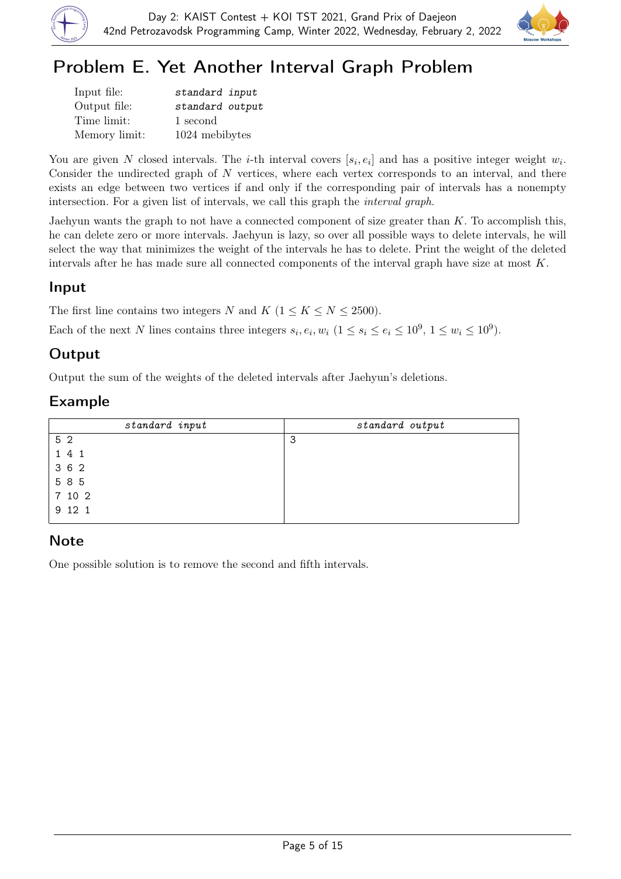



# Problem E. Yet Another Interval Graph Problem

| Input file:   | standard input  |
|---------------|-----------------|
| Output file:  | standard output |
| Time limit:   | 1 second        |
| Memory limit: | 1024 mebibytes  |

You are given N closed intervals. The *i*-th interval covers  $[s_i, e_i]$  and has a positive integer weight  $w_i$ . Consider the undirected graph of  $N$  vertices, where each vertex corresponds to an interval, and there exists an edge between two vertices if and only if the corresponding pair of intervals has a nonempty intersection. For a given list of intervals, we call this graph the interval graph.

Jaehyun wants the graph to not have a connected component of size greater than  $K$ . To accomplish this, he can delete zero or more intervals. Jaehyun is lazy, so over all possible ways to delete intervals, he will select the way that minimizes the weight of the intervals he has to delete. Print the weight of the deleted intervals after he has made sure all connected components of the interval graph have size at most K.

### Input

The first line contains two integers N and K ( $1 \leq K \leq N \leq 2500$ ).

Each of the next N lines contains three integers  $s_i, e_i, w_i$   $(1 \le s_i \le e_i \le 10^9, 1 \le w_i \le 10^9)$ .

## **Output**

Output the sum of the weights of the deleted intervals after Jaehyun's deletions.

## Example

| standard input | standard output |
|----------------|-----------------|
| 5 2            | 3               |
| 1 4 1          |                 |
| 3 6 2          |                 |
| 5 8 5          |                 |
| 7 10 2         |                 |
| 9 12 1         |                 |

## Note

One possible solution is to remove the second and fifth intervals.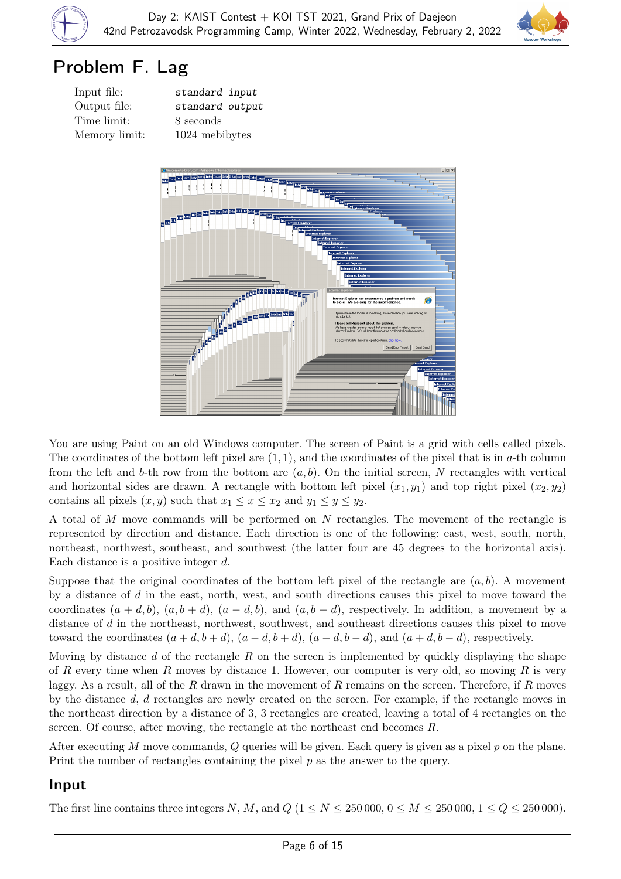



## Problem F. Lag

| Input file:   | s |
|---------------|---|
| Output file:  | s |
| Time limit:   | Χ |
| Memory limit: |   |

tandard input tandard output seconds 024 mebibytes



You are using Paint on an old Windows computer. The screen of Paint is a grid with cells called pixels. The coordinates of the bottom left pixel are  $(1, 1)$ , and the coordinates of the pixel that is in a-th column from the left and b-th row from the bottom are  $(a, b)$ . On the initial screen, N rectangles with vertical and horizontal sides are drawn. A rectangle with bottom left pixel  $(x_1, y_1)$  and top right pixel  $(x_2, y_2)$ contains all pixels  $(x, y)$  such that  $x_1 \le x \le x_2$  and  $y_1 \le y \le y_2$ .

A total of M move commands will be performed on N rectangles. The movement of the rectangle is represented by direction and distance. Each direction is one of the following: east, west, south, north, northeast, northwest, southeast, and southwest (the latter four are 45 degrees to the horizontal axis). Each distance is a positive integer d.

Suppose that the original coordinates of the bottom left pixel of the rectangle are  $(a, b)$ . A movement by a distance of d in the east, north, west, and south directions causes this pixel to move toward the coordinates  $(a + d, b)$ ,  $(a, b + d)$ ,  $(a - d, b)$ , and  $(a, b - d)$ , respectively. In addition, a movement by a distance of d in the northeast, northwest, southwest, and southeast directions causes this pixel to move toward the coordinates  $(a + d, b + d)$ ,  $(a - d, b + d)$ ,  $(a - d, b - d)$ , and  $(a + d, b - d)$ , respectively.

Moving by distance d of the rectangle R on the screen is implemented by quickly displaying the shape of R every time when R moves by distance 1. However, our computer is very old, so moving R is very laggy. As a result, all of the R drawn in the movement of R remains on the screen. Therefore, if R moves by the distance d, d rectangles are newly created on the screen. For example, if the rectangle moves in the northeast direction by a distance of 3, 3 rectangles are created, leaving a total of 4 rectangles on the screen. Of course, after moving, the rectangle at the northeast end becomes R.

After executing  $M$  move commands,  $Q$  queries will be given. Each query is given as a pixel  $p$  on the plane. Print the number of rectangles containing the pixel  $p$  as the answer to the query.

#### Input

The first line contains three integers N, M, and  $Q$  ( $1 \le N \le 250000$ ,  $0 \le M \le 250000$ ,  $1 \le Q \le 250000$ ).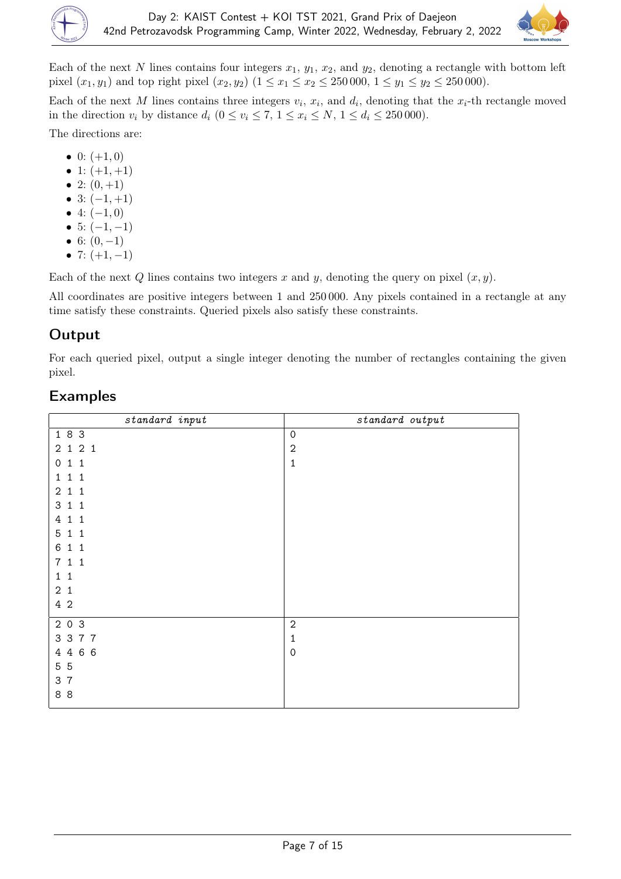

Each of the next N lines contains four integers  $x_1, y_1, x_2$ , and  $y_2$ , denoting a rectangle with bottom left pixel  $(x_1, y_1)$  and top right pixel  $(x_2, y_2)$   $(1 \le x_1 \le x_2 \le 250000, 1 \le y_1 \le y_2 \le 250000)$ .

Each of the next M lines contains three integers  $v_i$ ,  $x_i$ , and  $d_i$ , denoting that the  $x_i$ -th rectangle moved in the direction  $v_i$  by distance  $d_i$   $(0 \le v_i \le 7, 1 \le x_i \le N, 1 \le d_i \le 250000)$ .

The directions are:

- 0:  $(+1,0)$
- 1:  $(+1, +1)$
- 2:  $(0, +1)$
- 3:  $(-1, +1)$
- 4:  $(-1,0)$
- 5:  $(-1, -1)$
- 6:  $(0, -1)$
- 7:  $(+1, -1)$

Each of the next Q lines contains two integers x and y, denoting the query on pixel  $(x, y)$ .

All coordinates are positive integers between 1 and 250 000. Any pixels contained in a rectangle at any time satisfy these constraints. Queried pixels also satisfy these constraints.

## **Output**

For each queried pixel, output a single integer denoting the number of rectangles containing the given pixel.

| standard input               | standard output     |
|------------------------------|---------------------|
| 183                          | $\mathsf{O}\xspace$ |
| 2 1 2 1                      | $\sqrt{2}$          |
| 011                          | $\mathbf{1}$        |
| 111                          |                     |
| 211                          |                     |
| 3 1 1                        |                     |
| 4 1 1                        |                     |
| 5 1 1                        |                     |
| $\,6$<br>$1\quad1$           |                     |
| 711                          |                     |
| $\mathbf{1}$<br>$\mathbf{1}$ |                     |
| 2 <sub>1</sub>               |                     |
| 4 2                          |                     |
| 2 0 3                        | $\sqrt{2}$          |
| 3 3 7 7                      | $\mathbf 1$         |
| 4 4 6 6                      | 0                   |
| 5 5                          |                     |
| 3 7                          |                     |
| 88                           |                     |
|                              |                     |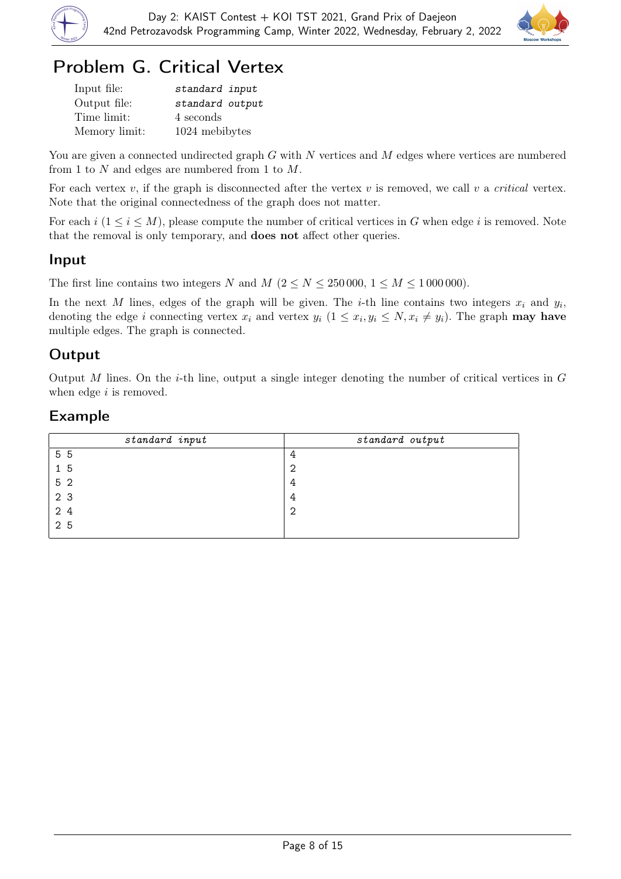



# Problem G. Critical Vertex

| Input file:   | standard input  |
|---------------|-----------------|
| Output file:  | standard output |
| Time limit:   | 4 seconds       |
| Memory limit: | 1024 mebibytes  |

You are given a connected undirected graph  $G$  with  $N$  vertices and  $M$  edges where vertices are numbered from 1 to N and edges are numbered from 1 to M.

For each vertex v, if the graph is disconnected after the vertex v is removed, we call v a *critical* vertex. Note that the original connectedness of the graph does not matter.

For each  $i$  ( $1 \le i \le M$ ), please compute the number of critical vertices in G when edge i is removed. Note that the removal is only temporary, and does not affect other queries.

#### Input

The first line contains two integers N and M ( $2 \le N \le 250000$ ,  $1 \le M \le 1000000$ ).

In the next M lines, edges of the graph will be given. The *i*-th line contains two integers  $x_i$  and  $y_i$ , denoting the edge i connecting vertex  $x_i$  and vertex  $y_i$   $(1 \le x_i, y_i \le N, x_i \ne y_i)$ . The graph **may have** multiple edges. The graph is connected.

### **Output**

Output M lines. On the *i*-th line, output a single integer denoting the number of critical vertices in  $G$ when edge  $i$  is removed.

| standard input | standard output |
|----------------|-----------------|
| 5 5            | 4               |
| 15             | 2               |
| 5 <sub>2</sub> | 4               |
| 2 3            | 4               |
| 2 4            | 2               |
| 2 5            |                 |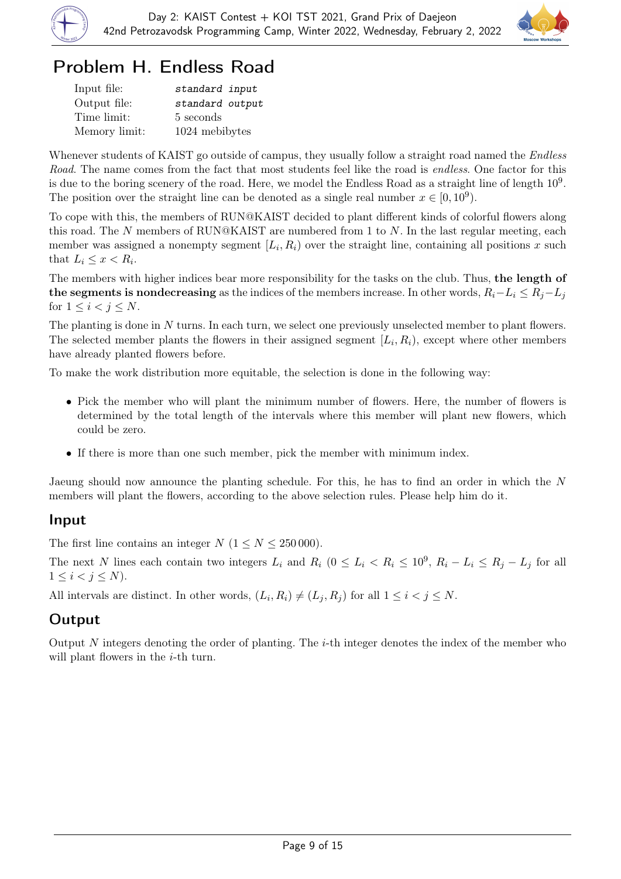



# Problem H. Endless Road

| Input file:   | standard input  |
|---------------|-----------------|
| Output file:  | standard output |
| Time limit:   | 5 seconds       |
| Memory limit: | 1024 mebibytes  |

Whenever students of KAIST go outside of campus, they usually follow a straight road named the *Endless* Road. The name comes from the fact that most students feel like the road is endless. One factor for this is due to the boring scenery of the road. Here, we model the Endless Road as a straight line of length  $10^9$ . The position over the straight line can be denoted as a single real number  $x \in [0, 10^9)$ .

To cope with this, the members of RUN@KAIST decided to plant different kinds of colorful flowers along this road. The N members of RUN@KAIST are numbered from 1 to N. In the last regular meeting, each member was assigned a nonempty segment  $[L_i, R_i)$  over the straight line, containing all positions x such that  $L_i \leq x < R_i$ .

The members with higher indices bear more responsibility for the tasks on the club. Thus, the length of the segments is nondecreasing as the indices of the members increase. In other words,  $R_i - L_i \leq R_i - L_j$ for  $1 \leq i \leq j \leq N$ .

The planting is done in N turns. In each turn, we select one previously unselected member to plant flowers. The selected member plants the flowers in their assigned segment  $[L_i, R_i)$ , except where other members have already planted flowers before.

To make the work distribution more equitable, the selection is done in the following way:

- Pick the member who will plant the minimum number of flowers. Here, the number of flowers is determined by the total length of the intervals where this member will plant new flowers, which could be zero.
- If there is more than one such member, pick the member with minimum index.

Jaeung should now announce the planting schedule. For this, he has to find an order in which the N members will plant the flowers, according to the above selection rules. Please help him do it.

#### Input

The first line contains an integer  $N$   $(1 \le N \le 250000)$ .

The next N lines each contain two integers  $L_i$  and  $R_i$   $(0 \le L_i \le R_i \le 10^9, R_i - L_i \le R_j - L_j$  for all  $1 \leq i < j \leq N$ ).

All intervals are distinct. In other words,  $(L_i, R_i) \neq (L_j, R_j)$  for all  $1 \leq i < j \leq N$ .

### Output

Output N integers denoting the order of planting. The  $i$ -th integer denotes the index of the member who will plant flowers in the *i*-th turn.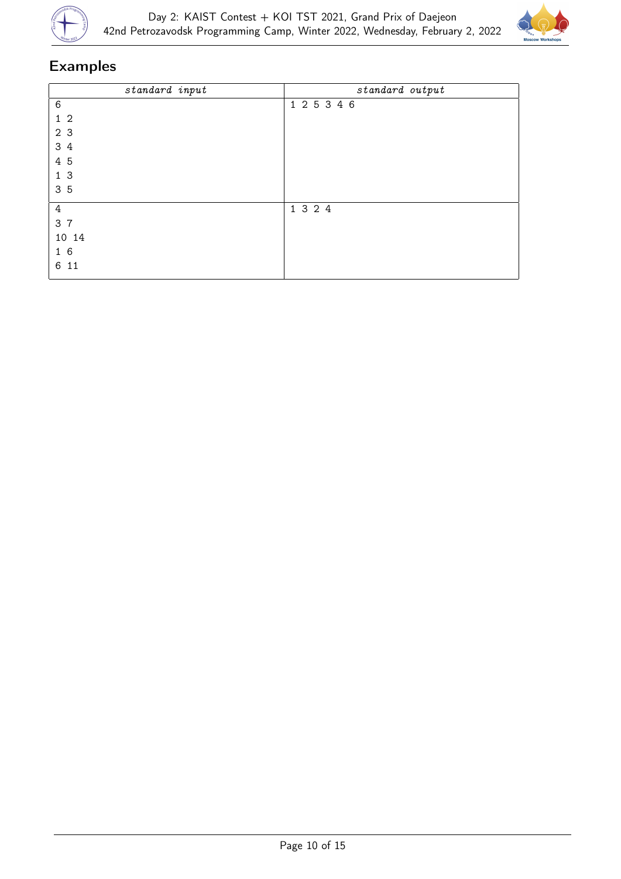



| standard input | standard output |
|----------------|-----------------|
| $\,6$          | 1 2 5 3 4 6     |
| 1 <sub>2</sub> |                 |
| 2 3            |                 |
| 34             |                 |
| 4 5            |                 |
| 1 <sub>3</sub> |                 |
| 3 5            |                 |
| $\overline{4}$ | 1 3 2 4         |
| 3 7            |                 |
| 10 14          |                 |
| 16             |                 |
| 6 11           |                 |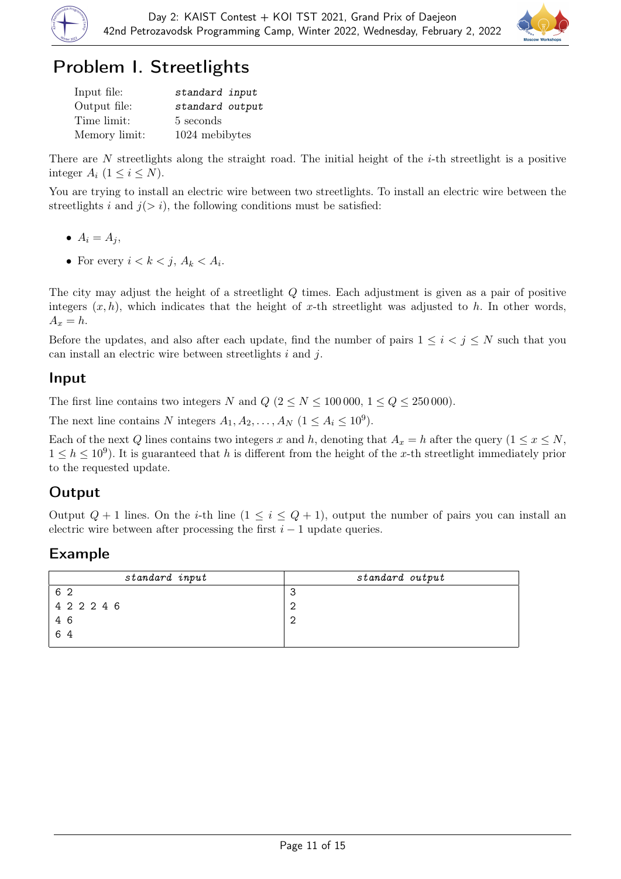



# Problem I. Streetlights

| Input file:   | standard input  |
|---------------|-----------------|
| Output file:  | standard output |
| Time limit:   | 5 seconds       |
| Memory limit: | 1024 mebibytes  |

There are N streetlights along the straight road. The initial height of the *i*-th streetlight is a positive integer  $A_i$   $(1 \leq i \leq N)$ .

You are trying to install an electric wire between two streetlights. To install an electric wire between the streetlights i and  $j(> i)$ , the following conditions must be satisfied:

- $A_i = A_j$
- For every  $i < k < j$ ,  $A_k < A_i$ .

The city may adjust the height of a streetlight Q times. Each adjustment is given as a pair of positive integers  $(x, h)$ , which indicates that the height of x-th streetlight was adjusted to h. In other words,  $A_x = h$ .

Before the updates, and also after each update, find the number of pairs  $1 \leq i \leq j \leq N$  such that you can install an electric wire between streetlights i and j.

### Input

The first line contains two integers N and  $Q$   $(2 \le N \le 100000, 1 \le Q \le 250000)$ .

The next line contains N integers  $A_1, A_2, \ldots, A_N$   $(1 \le A_i \le 10^9)$ .

Each of the next Q lines contains two integers x and h, denoting that  $A_x = h$  after the query  $(1 \le x \le N,$  $1 \leq h \leq 10^9$ ). It is guaranteed that h is different from the height of the x-th streetlight immediately prior to the requested update.

## **Output**

Output  $Q + 1$  lines. On the *i*-th line  $(1 \le i \le Q + 1)$ , output the number of pairs you can install an electric wire between after processing the first  $i - 1$  update queries.

| standard input | standard output |
|----------------|-----------------|
| 6 2            | ີ<br>ъ.         |
| 4 2 2 2 4 6    | c               |
| 46             | r               |
| 64             |                 |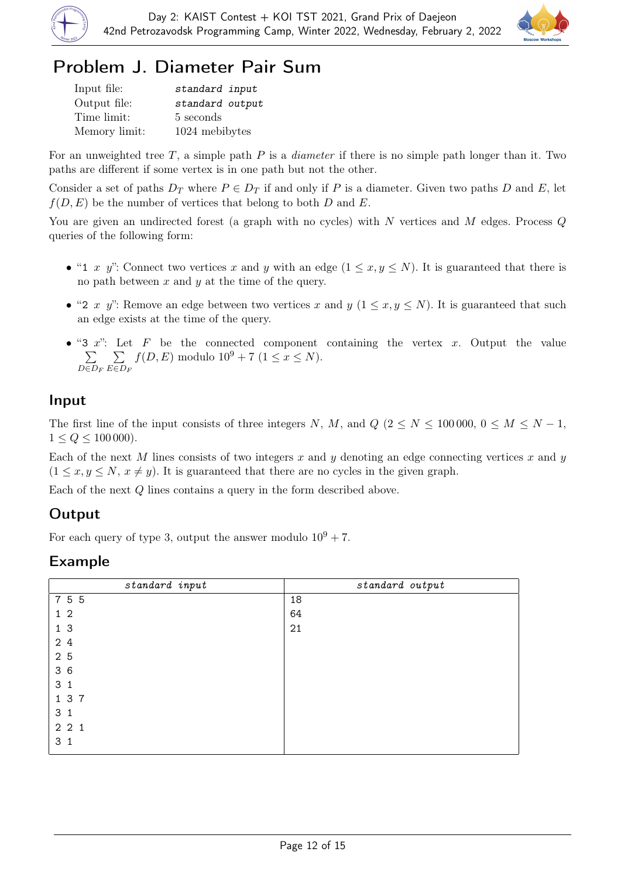



# Problem J. Diameter Pair Sum

| Input file:   | standard input  |
|---------------|-----------------|
| Output file:  | standard output |
| Time limit:   | 5 seconds       |
| Memory limit: | 1024 mebibytes  |

For an unweighted tree  $T$ , a simple path  $P$  is a *diameter* if there is no simple path longer than it. Two paths are different if some vertex is in one path but not the other.

Consider a set of paths  $D_T$  where  $P \in D_T$  if and only if P is a diameter. Given two paths D and E, let  $f(D, E)$  be the number of vertices that belong to both D and E.

You are given an undirected forest (a graph with no cycles) with  $N$  vertices and  $M$  edges. Process  $Q$ queries of the following form:

- "1 x y": Connect two vertices x and y with an edge  $(1 \le x, y \le N)$ . It is guaranteed that there is no path between  $x$  and  $y$  at the time of the query.
- "2 x y": Remove an edge between two vertices x and y  $(1 \le x, y \le N)$ . It is guaranteed that such an edge exists at the time of the query.
- "3  $x$ ": Let F be the connected component containing the vertex x. Output the value  $\sum$  $D \in D_F$  $\sum$ E∈D<sup>F</sup>  $f(D, E)$  modulo  $10^9 + 7$   $(1 \le x \le N)$ .

### Input

The first line of the input consists of three integers N, M, and  $Q$  ( $2 \le N \le 100000$ ,  $0 \le M \le N - 1$ ,  $1 \le Q \le 100\,000$ .

Each of the next M lines consists of two integers x and y denoting an edge connecting vertices x and y  $(1 \leq x, y \leq N, x \neq y)$ . It is guaranteed that there are no cycles in the given graph.

Each of the next Q lines contains a query in the form described above.

### Output

For each query of type 3, output the answer modulo  $10^9 + 7$ .

| standard input | standard output |
|----------------|-----------------|
| 755            | 18              |
| 1 <sub>2</sub> | 64              |
| 1 <sub>3</sub> | 21              |
| 24             |                 |
| 2 5            |                 |
| 36             |                 |
| 3 <sub>1</sub> |                 |
| 1 3 7          |                 |
| 3 <sub>1</sub> |                 |
| 221            |                 |
| 3 <sub>1</sub> |                 |
|                |                 |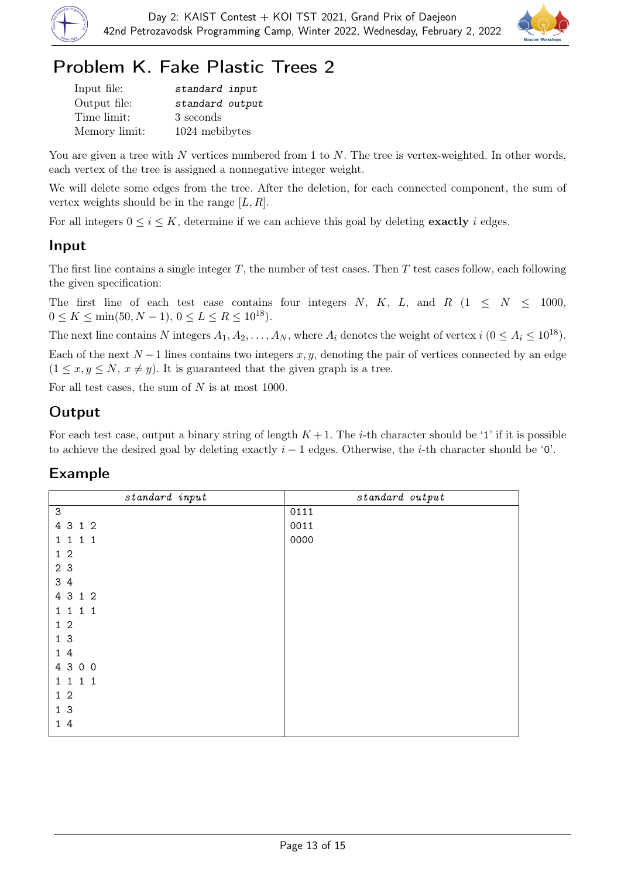



# Problem K. Fake Plastic Trees 2

| Input file:   | standard input  |
|---------------|-----------------|
| Output file:  | standard output |
| Time limit:   | 3 seconds       |
| Memory limit: | 1024 mebibytes  |

You are given a tree with N vertices numbered from 1 to N. The tree is vertex-weighted. In other words, each vertex of the tree is assigned a nonnegative integer weight.

We will delete some edges from the tree. After the deletion, for each connected component, the sum of vertex weights should be in the range  $[L, R]$ .

For all integers  $0 \le i \le K$ , determine if we can achieve this goal by deleting **exactly** i edges.

#### Input

The first line contains a single integer  $T$ , the number of test cases. Then  $T$  test cases follow, each following the given specification:

The first line of each test case contains four integers N, K, L, and R  $(1 \leq N \leq 1000,$  $0 \le K \le \min(50, N - 1), 0 \le L \le R \le 10^{18}$ .

The next line contains N integers  $A_1, A_2, \ldots, A_N$ , where  $A_i$  denotes the weight of vertex  $i$  ( $0 \le A_i \le 10^{18}$ ).

Each of the next  $N-1$  lines contains two integers x, y, denoting the pair of vertices connected by an edge  $(1 \leq x, y \leq N, x \neq y)$ . It is guaranteed that the given graph is a tree.

For all test cases, the sum of  $N$  is at most 1000.

### Output

For each test case, output a binary string of length  $K+1$ . The *i*-th character should be '1' if it is possible to achieve the desired goal by deleting exactly  $i - 1$  edges. Otherwise, the *i*-th character should be '0'.

| standard input            | standard output |
|---------------------------|-----------------|
| $\ensuremath{\mathsf{3}}$ | 0111            |
| 4 3 1 2                   | 0011            |
| 1 1 1 1                   | 0000            |
| $1\,2$                    |                 |
| 2 3                       |                 |
| 3 4                       |                 |
| 4 3 1 2                   |                 |
| 1 1 1 1                   |                 |
| $1\,2$                    |                 |
| 1 <sub>3</sub>            |                 |
| 14                        |                 |
| 4 3 0 0                   |                 |
| 1 1 1 1                   |                 |
| 1 <sub>2</sub>            |                 |
| 1 <sub>3</sub>            |                 |
| 14                        |                 |
|                           |                 |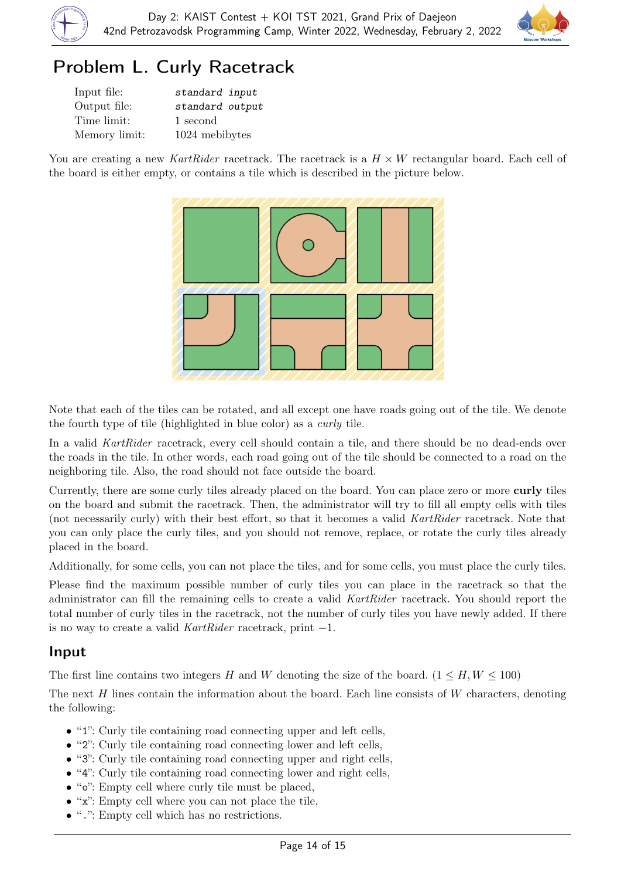



# Problem L. Curly Racetrack

| Input file:   | standard input  |
|---------------|-----------------|
| Output file:  | standard output |
| Time limit:   | 1 second        |
| Memory limit: | 1024 mebibytes  |

You are creating a new KartRider racetrack. The racetrack is a  $H \times W$  rectangular board. Each cell of the board is either empty, or contains a tile which is described in the picture below.



Note that each of the tiles can be rotated, and all except one have roads going out of the tile. We denote the fourth type of tile (highlighted in blue color) as a curly tile.

In a valid KartRider racetrack, every cell should contain a tile, and there should be no dead-ends over the roads in the tile. In other words, each road going out of the tile should be connected to a road on the neighboring tile. Also, the road should not face outside the board.

Currently, there are some curly tiles already placed on the board. You can place zero or more curly tiles on the board and submit the racetrack. Then, the administrator will try to fill all empty cells with tiles (not necessarily curly) with their best effort, so that it becomes a valid KartRider racetrack. Note that you can only place the curly tiles, and you should not remove, replace, or rotate the curly tiles already placed in the board.

Additionally, for some cells, you can not place the tiles, and for some cells, you must place the curly tiles.

Please find the maximum possible number of curly tiles you can place in the racetrack so that the administrator can fill the remaining cells to create a valid KartRider racetrack. You should report the total number of curly tiles in the racetrack, not the number of curly tiles you have newly added. If there is no way to create a valid KartRider racetrack, print −1.

#### Input

The first line contains two integers H and W denoting the size of the board.  $(1 \leq H, W \leq 100)$ 

The next  $H$  lines contain the information about the board. Each line consists of  $W$  characters, denoting the following:

- "1": Curly tile containing road connecting upper and left cells,
- "2": Curly tile containing road connecting lower and left cells,
- "3": Curly tile containing road connecting upper and right cells,
- "4": Curly tile containing road connecting lower and right cells,
- "o": Empty cell where curly tile must be placed,
- "x": Empty cell where you can not place the tile,
- ".": Empty cell which has no restrictions.